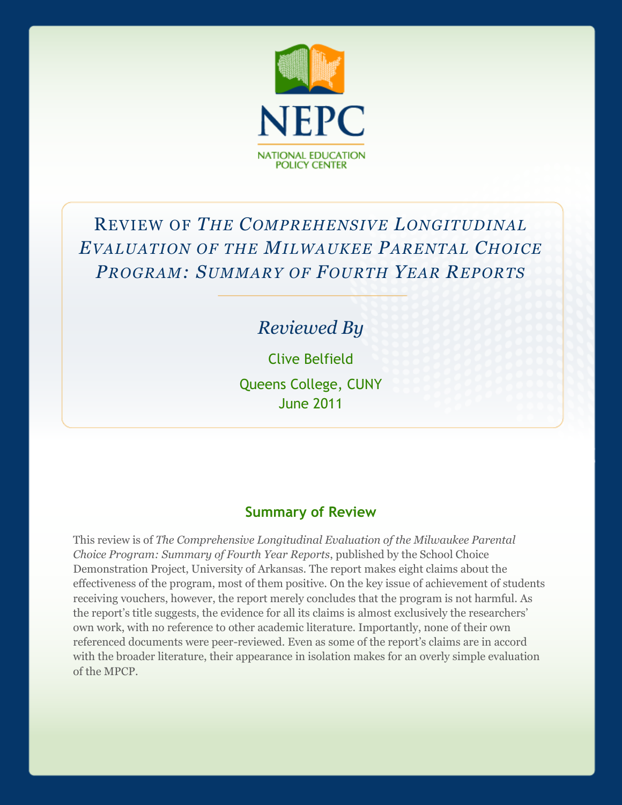

# REVIEW OF *THE COMPREHENSIVE LONGITUDINAL EVALUATION OF THE MILWAUKEE PARENTAL CHOICE PROGRAM: SUMMARY OF FOURTH YEAR REPORTS*

## *Reviewed By*

Clive Belfield Queens College, CUNY June 2011

#### **Summary of Review**

This review is of *The Comprehensive Longitudinal Evaluation of the Milwaukee Parental Choice Program: Summary of Fourth Year Reports*, published by the School Choice Demonstration Project, University of Arkansas. The report makes eight claims about the effectiveness of the program, most of them positive. On the key issue of achievement of students receiving vouchers, however, the report merely concludes that the program is not harmful. As the report's title suggests, the evidence for all its claims is almost exclusively the researchers' own work, with no reference to other academic literature. Importantly, none of their own referenced documents were peer-reviewed. Even as some of the report's claims are in accord with the broader literature, their appearance in isolation makes for an overly simple evaluation of the MPCP.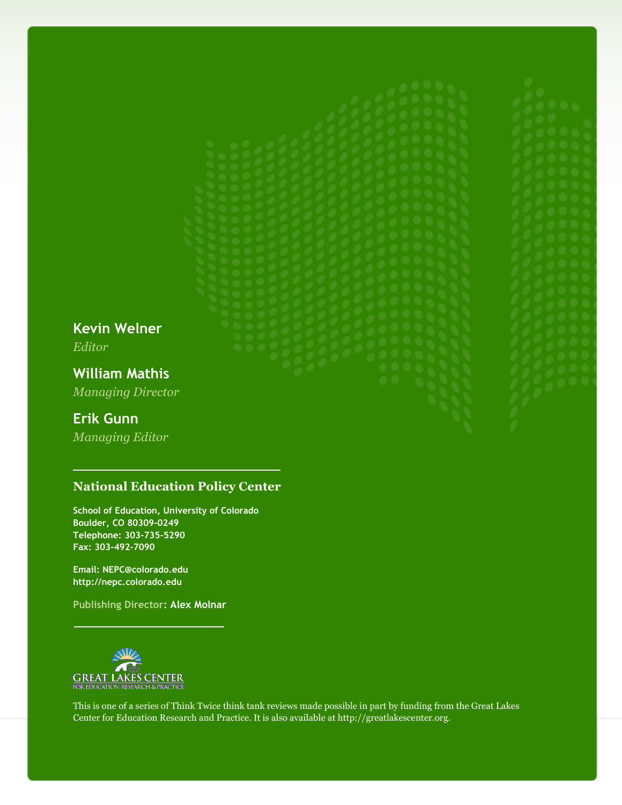**Kevin Welner** *Editor*

**William Mathis** *Managing Director*

#### **Erik Gunn**

*Managing Editor*

#### **National Education Policy Center**

**School of Education, University of Colorado Boulder, CO 80309-0249 Telephone: 303-735-5290 Fax: 303-492-7090**

**Email: NEPC@colorado.edu http://nepc.colorado.edu**

**Publishing Director: Alex Molnar**



This is one of a series of Think Twice think tank reviews made possible in part by funding from the Great Lakes Center for Education Research and Practice. It is also available at http://greatlakescenter.org.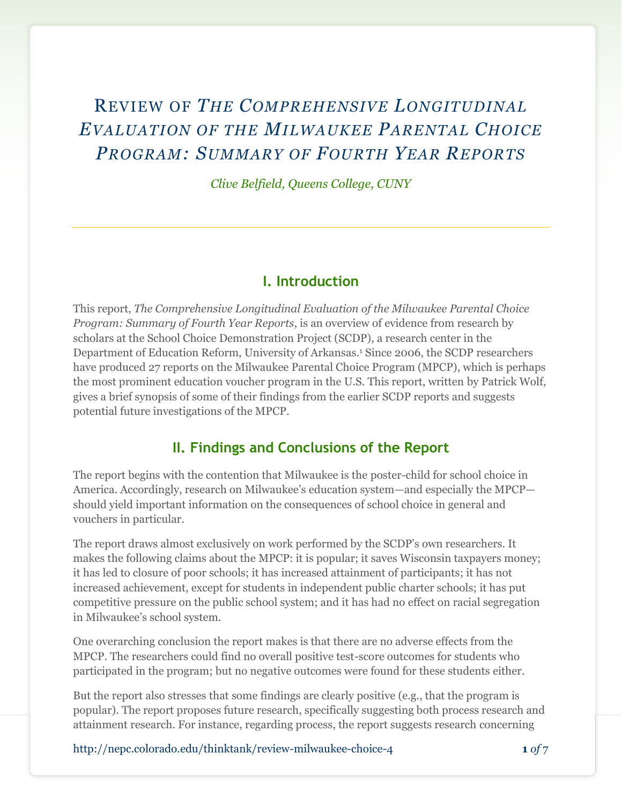## REVIEW OF *THE COMPREHENSIVE LONGITUDINAL EVALUATION OF THE MILWAUKEE PARENTAL CHOICE PROGRAM: SUMMARY OF FOURTH YEAR REPORTS*

*Clive Belfield, Queens College, CUNY*

#### **I. Introduction**

This report, *The Comprehensive Longitudinal Evaluation of the Milwaukee Parental Choice Program: Summary of Fourth Year Reports*, is an overview of evidence from research by scholars at the School Choice Demonstration Project (SCDP), a research center in the Department of Education Reform, University of Arkansas.<sup>1</sup> Since 2006, the SCDP researchers have produced 27 reports on the Milwaukee Parental Choice Program (MPCP), which is perhaps the most prominent education voucher program in the U.S. This report, written by Patrick Wolf, gives a brief synopsis of some of their findings from the earlier SCDP reports and suggests potential future investigations of the MPCP.

#### **II. Findings and Conclusions of the Report**

The report begins with the contention that Milwaukee is the poster-child for school choice in America. Accordingly, research on Milwaukee's education system—and especially the MPCP should yield important information on the consequences of school choice in general and vouchers in particular.

The report draws almost exclusively on work performed by the SCDP's own researchers. It makes the following claims about the MPCP: it is popular; it saves Wisconsin taxpayers money; it has led to closure of poor schools; it has increased attainment of participants; it has not increased achievement, except for students in independent public charter schools; it has put competitive pressure on the public school system; and it has had no effect on racial segregation in Milwaukee's school system.

One overarching conclusion the report makes is that there are no adverse effects from the MPCP. The researchers could find no overall positive test-score outcomes for students who participated in the program; but no negative outcomes were found for these students either.

But the report also stresses that some findings are clearly positive (e.g., that the program is popular). The report proposes future research, specifically suggesting both process research and attainment research. For instance, regarding process, the report suggests research concerning

http://nepc.colorado.edu/thinktank/review-milwaukee-choice-4 **1** *of* 7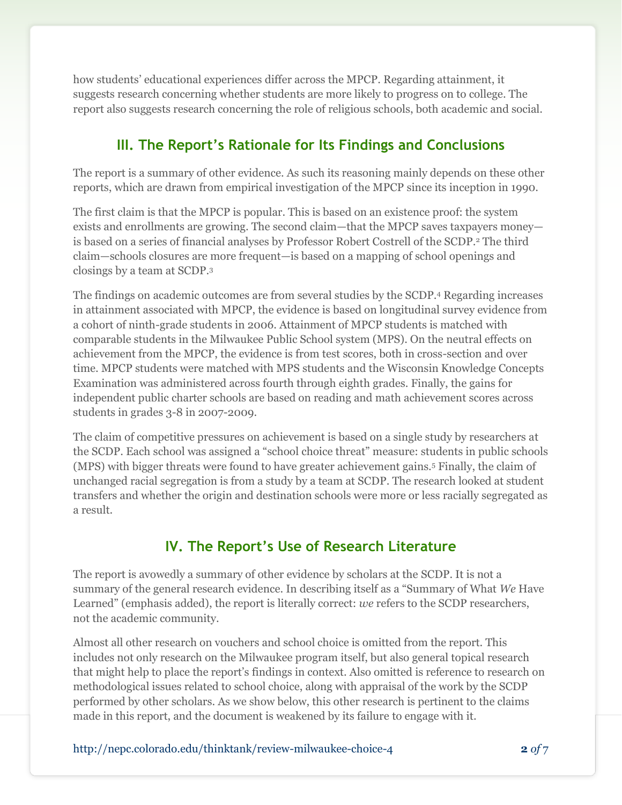how students' educational experiences differ across the MPCP. Regarding attainment, it suggests research concerning whether students are more likely to progress on to college. The report also suggests research concerning the role of religious schools, both academic and social.

## **III. The Report's Rationale for Its Findings and Conclusions**

The report is a summary of other evidence. As such its reasoning mainly depends on these other reports, which are drawn from empirical investigation of the MPCP since its inception in 1990.

The first claim is that the MPCP is popular. This is based on an existence proof: the system exists and enrollments are growing. The second claim—that the MPCP saves taxpayers money is based on a series of financial analyses by Professor Robert Costrell of the SCDP.<sup>2</sup> The third claim—schools closures are more frequent—is based on a mapping of school openings and closings by a team at SCDP.<sup>3</sup>

The findings on academic outcomes are from several studies by the SCDP.<sup>4</sup> Regarding increases in attainment associated with MPCP, the evidence is based on longitudinal survey evidence from a cohort of ninth-grade students in 2006. Attainment of MPCP students is matched with comparable students in the Milwaukee Public School system (MPS). On the neutral effects on achievement from the MPCP, the evidence is from test scores, both in cross-section and over time. MPCP students were matched with MPS students and the Wisconsin Knowledge Concepts Examination was administered across fourth through eighth grades. Finally, the gains for independent public charter schools are based on reading and math achievement scores across students in grades 3-8 in 2007-2009.

The claim of competitive pressures on achievement is based on a single study by researchers at the SCDP. Each school was assigned a "school choice threat" measure: students in public schools (MPS) with bigger threats were found to have greater achievement gains.<sup>5</sup> Finally, the claim of unchanged racial segregation is from a study by a team at SCDP. The research looked at student transfers and whether the origin and destination schools were more or less racially segregated as a result.

## **IV. The Report's Use of Research Literature**

The report is avowedly a summary of other evidence by scholars at the SCDP. It is not a summary of the general research evidence. In describing itself as a "Summary of What *We* Have Learned" (emphasis added), the report is literally correct: *we* refers to the SCDP researchers, not the academic community.

Almost all other research on vouchers and school choice is omitted from the report. This includes not only research on the Milwaukee program itself, but also general topical research that might help to place the report's findings in context. Also omitted is reference to research on methodological issues related to school choice, along with appraisal of the work by the SCDP performed by other scholars. As we show below, this other research is pertinent to the claims made in this report, and the document is weakened by its failure to engage with it.

http://nepc.colorado.edu/thinktank/review-milwaukee-choice-4 **2** *of* 7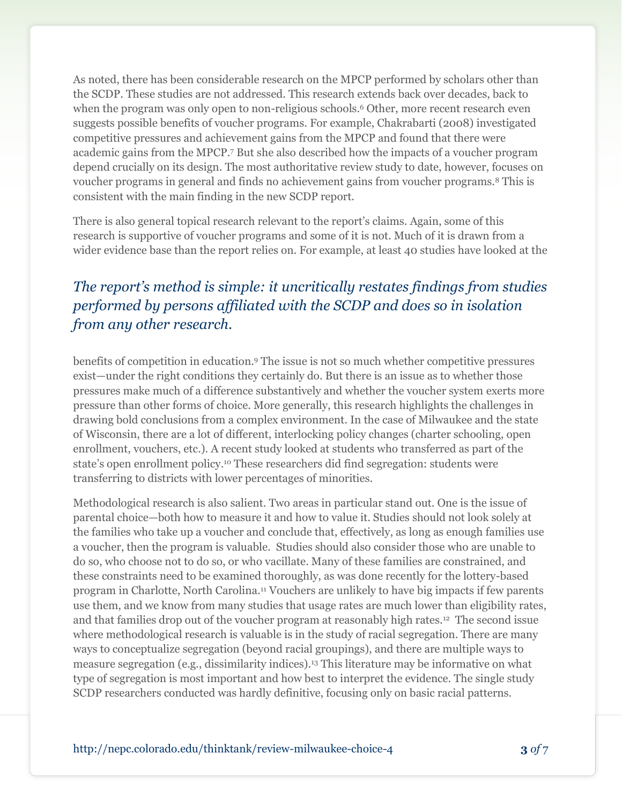As noted, there has been considerable research on the MPCP performed by scholars other than the SCDP. These studies are not addressed. This research extends back over decades, back to when the program was only open to non-religious schools.<sup>6</sup> Other, more recent research even suggests possible benefits of voucher programs. For example, Chakrabarti (2008) investigated competitive pressures and achievement gains from the MPCP and found that there were academic gains from the MPCP.<sup>7</sup> But she also described how the impacts of a voucher program depend crucially on its design. The most authoritative review study to date, however, focuses on voucher programs in general and finds no achievement gains from voucher programs.<sup>8</sup> This is consistent with the main finding in the new SCDP report.

There is also general topical research relevant to the report's claims. Again, some of this research is supportive of voucher programs and some of it is not. Much of it is drawn from a wider evidence base than the report relies on. For example, at least 40 studies have looked at the

## *The report's method is simple: it uncritically restates findings from studies performed by persons affiliated with the SCDP and does so in isolation from any other research.*

benefits of competition in education.<sup>9</sup> The issue is not so much whether competitive pressures exist—under the right conditions they certainly do. But there is an issue as to whether those pressures make much of a difference substantively and whether the voucher system exerts more pressure than other forms of choice. More generally, this research highlights the challenges in drawing bold conclusions from a complex environment. In the case of Milwaukee and the state of Wisconsin, there are a lot of different, interlocking policy changes (charter schooling, open enrollment, vouchers, etc.). A recent study looked at students who transferred as part of the state's open enrollment policy.<sup>10</sup> These researchers did find segregation: students were transferring to districts with lower percentages of minorities.

Methodological research is also salient. Two areas in particular stand out. One is the issue of parental choice—both how to measure it and how to value it. Studies should not look solely at the families who take up a voucher and conclude that, effectively, as long as enough families use a voucher, then the program is valuable. Studies should also consider those who are unable to do so, who choose not to do so, or who vacillate. Many of these families are constrained, and these constraints need to be examined thoroughly, as was done recently for the lottery-based program in Charlotte, North Carolina.<sup>11</sup> Vouchers are unlikely to have big impacts if few parents use them, and we know from many studies that usage rates are much lower than eligibility rates, and that families drop out of the voucher program at reasonably high rates.<sup>12</sup> The second issue where methodological research is valuable is in the study of racial segregation. There are many ways to conceptualize segregation (beyond racial groupings), and there are multiple ways to measure segregation (e.g., dissimilarity indices).<sup>13</sup> This literature may be informative on what type of segregation is most important and how best to interpret the evidence. The single study SCDP researchers conducted was hardly definitive, focusing only on basic racial patterns.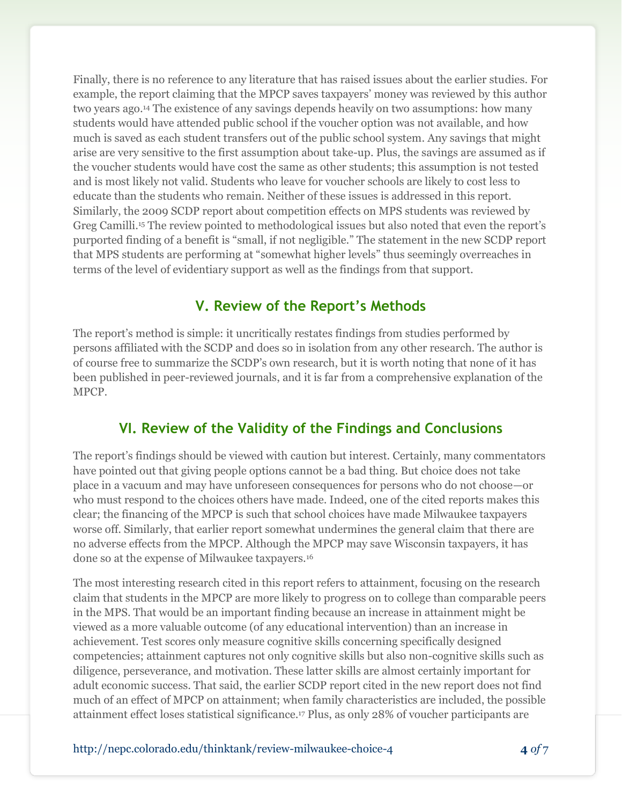Finally, there is no reference to any literature that has raised issues about the earlier studies. For example, the report claiming that the MPCP saves taxpayers' money was reviewed by this author two years ago.<sup>14</sup> The existence of any savings depends heavily on two assumptions: how many students would have attended public school if the voucher option was not available, and how much is saved as each student transfers out of the public school system. Any savings that might arise are very sensitive to the first assumption about take-up. Plus, the savings are assumed as if the voucher students would have cost the same as other students; this assumption is not tested and is most likely not valid. Students who leave for voucher schools are likely to cost less to educate than the students who remain. Neither of these issues is addressed in this report. Similarly, the 2009 SCDP report about competition effects on MPS students was reviewed by Greg Camilli. <sup>15</sup> The review pointed to methodological issues but also noted that even the report's purported finding of a benefit is "small, if not negligible." The statement in the new SCDP report that MPS students are performing at "somewhat higher levels" thus seemingly overreaches in terms of the level of evidentiary support as well as the findings from that support.

## **V. Review of the Report's Methods**

The report's method is simple: it uncritically restates findings from studies performed by persons affiliated with the SCDP and does so in isolation from any other research. The author is of course free to summarize the SCDP's own research, but it is worth noting that none of it has been published in peer-reviewed journals, and it is far from a comprehensive explanation of the MPCP.

## **VI. Review of the Validity of the Findings and Conclusions**

The report's findings should be viewed with caution but interest. Certainly, many commentators have pointed out that giving people options cannot be a bad thing. But choice does not take place in a vacuum and may have unforeseen consequences for persons who do not choose—or who must respond to the choices others have made. Indeed, one of the cited reports makes this clear; the financing of the MPCP is such that school choices have made Milwaukee taxpayers worse off. Similarly, that earlier report somewhat undermines the general claim that there are no adverse effects from the MPCP. Although the MPCP may save Wisconsin taxpayers, it has done so at the expense of Milwaukee taxpayers.<sup>16</sup>

The most interesting research cited in this report refers to attainment, focusing on the research claim that students in the MPCP are more likely to progress on to college than comparable peers in the MPS. That would be an important finding because an increase in attainment might be viewed as a more valuable outcome (of any educational intervention) than an increase in achievement. Test scores only measure cognitive skills concerning specifically designed competencies; attainment captures not only cognitive skills but also non-cognitive skills such as diligence, perseverance, and motivation. These latter skills are almost certainly important for adult economic success. That said, the earlier SCDP report cited in the new report does not find much of an effect of MPCP on attainment; when family characteristics are included, the possible attainment effect loses statistical significance.<sup>17</sup> Plus, as only 28% of voucher participants are

http://nepc.colorado.edu/thinktank/review-milwaukee-choice-4 **4** *of* 7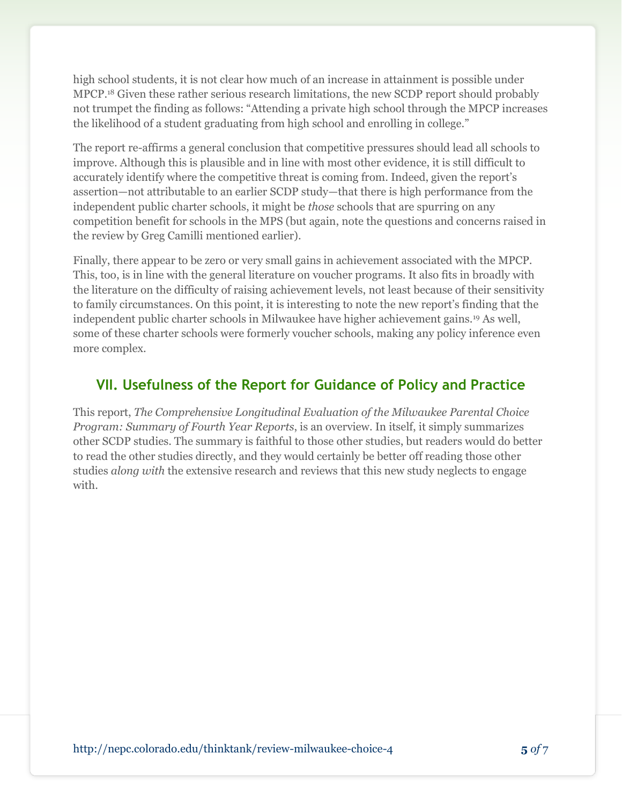high school students, it is not clear how much of an increase in attainment is possible under MPCP.<sup>18</sup> Given these rather serious research limitations, the new SCDP report should probably not trumpet the finding as follows: "Attending a private high school through the MPCP increases the likelihood of a student graduating from high school and enrolling in college."

The report re-affirms a general conclusion that competitive pressures should lead all schools to improve. Although this is plausible and in line with most other evidence, it is still difficult to accurately identify where the competitive threat is coming from. Indeed, given the report's assertion—not attributable to an earlier SCDP study—that there is high performance from the independent public charter schools, it might be *those* schools that are spurring on any competition benefit for schools in the MPS (but again, note the questions and concerns raised in the review by Greg Camilli mentioned earlier).

Finally, there appear to be zero or very small gains in achievement associated with the MPCP. This, too, is in line with the general literature on voucher programs. It also fits in broadly with the literature on the difficulty of raising achievement levels, not least because of their sensitivity to family circumstances. On this point, it is interesting to note the new report's finding that the independent public charter schools in Milwaukee have higher achievement gains.<sup>19</sup> As well, some of these charter schools were formerly voucher schools, making any policy inference even more complex.

## **VII. Usefulness of the Report for Guidance of Policy and Practice**

This report, *The Comprehensive Longitudinal Evaluation of the Milwaukee Parental Choice Program: Summary of Fourth Year Reports*, is an overview. In itself, it simply summarizes other SCDP studies. The summary is faithful to those other studies, but readers would do better to read the other studies directly, and they would certainly be better off reading those other studies *along with* the extensive research and reviews that this new study neglects to engage with.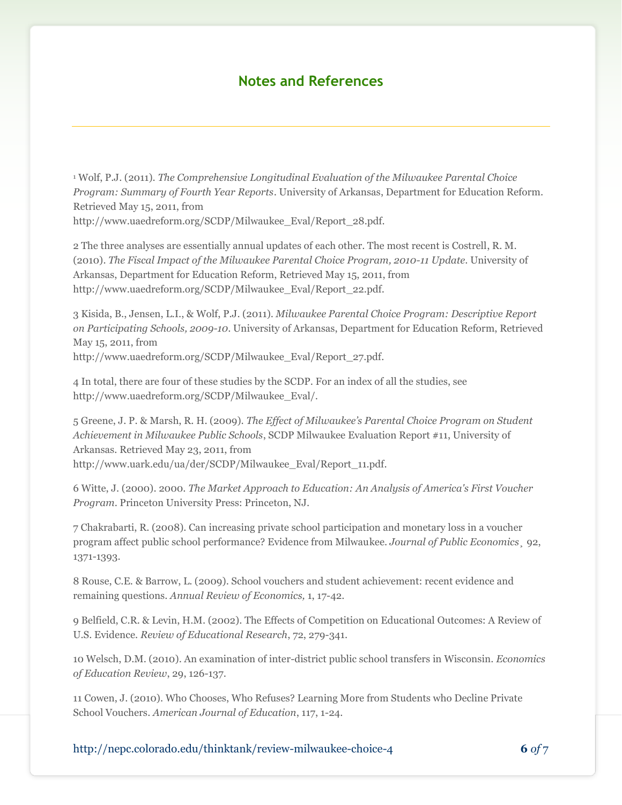#### **Notes and References**

<sup>1</sup> Wolf, P.J. (2011). *The Comprehensive Longitudinal Evaluation of the Milwaukee Parental Choice Program: Summary of Fourth Year Reports*. University of Arkansas, Department for Education Reform. Retrieved May 15, 2011, from

http://www.uaedreform.org/SCDP/Milwaukee\_Eval/Report\_28.pdf.

2 The three analyses are essentially annual updates of each other. The most recent is Costrell, R. M. (2010). *The Fiscal Impact of the Milwaukee Parental Choice Program, 2010-11 Update*. University of Arkansas, Department for Education Reform, Retrieved May 15, 2011, from http://www.uaedreform.org/SCDP/Milwaukee\_Eval/Report\_22.pdf.

3 Kisida, B., Jensen, L.I., & Wolf, P.J. (2011). *Milwaukee Parental Choice Program: Descriptive Report on Participating Schools, 2009-10*. University of Arkansas, Department for Education Reform, Retrieved May 15, 2011, from http://www.uaedreform.org/SCDP/Milwaukee\_Eval/Report\_27.pdf.

4 In total, there are four of these studies by the SCDP. For an index of all the studies, see http://www.uaedreform.org/SCDP/Milwaukee\_Eval/.

5 Greene, J. P. & Marsh, R. H. (2009). *The Effect of Milwaukee's Parental Choice Program on Student Achievement in Milwaukee Public Schools*, SCDP Milwaukee Evaluation Report #11, University of Arkansas. Retrieved May 23, 2011, from http://www.uark.edu/ua/der/SCDP/Milwaukee\_Eval/Report\_11.pdf.

6 Witte, J. (2000). 2000. *The Market Approach to Education: An Analysis of America's First Voucher Program*. Princeton University Press: Princeton, NJ.

7 Chakrabarti, R. (2008). Can increasing private school participation and monetary loss in a voucher program affect public school performance? Evidence from Milwaukee. *Journal of Public Economics¸* 92, 1371-1393.

8 Rouse, C.E. & Barrow, L. (2009). School vouchers and student achievement: recent evidence and remaining questions. *Annual Review of Economics,* 1, 17-42.

9 Belfield, C.R. & Levin, H.M. (2002). The Effects of Competition on Educational Outcomes: A Review of U.S. Evidence. *Review of Educational Research*, 72, 279-341.

10 Welsch, D.M. (2010). An examination of inter-district public school transfers in Wisconsin. *Economics of Education Review*, 29, 126-137.

11 Cowen, J. (2010). Who Chooses, Who Refuses? Learning More from Students who Decline Private School Vouchers. *American Journal of Education*, 117, 1-24.

http://nepc.colorado.edu/thinktank/review-milwaukee-choice-4 **6** *of* 7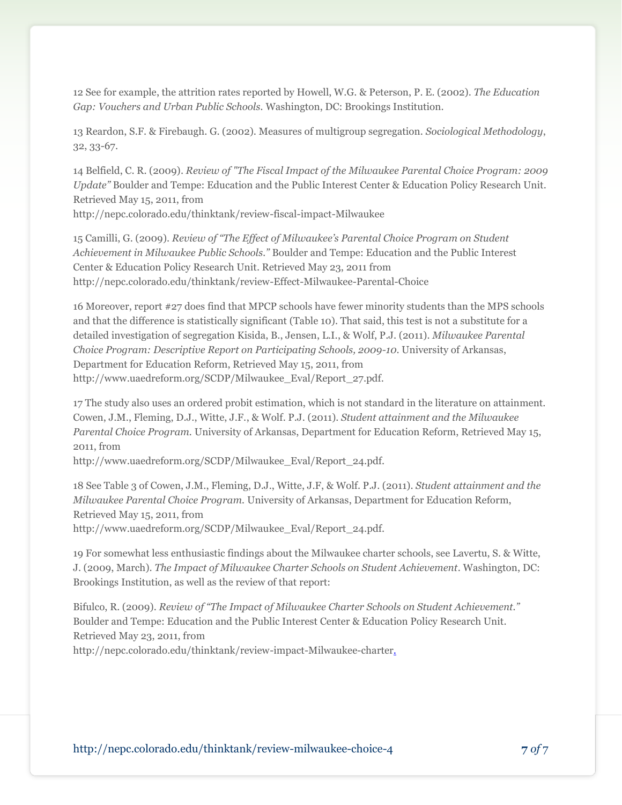12 See for example, the attrition rates reported by Howell, W.G. & Peterson, P. E. (2002). *The Education Gap: Vouchers and Urban Public Schools.* Washington, DC: Brookings Institution.

13 Reardon, S.F. & Firebaugh. G. (2002). Measures of multigroup segregation. *Sociological Methodology*, 32, 33-67.

14 Belfield, C. R. (2009). *Review of "The Fiscal Impact of the Milwaukee Parental Choice Program: 2009 Update"* Boulder and Tempe: Education and the Public Interest Center & Education Policy Research Unit. Retrieved May 15, 2011, from

http://nepc.colorado.edu/thinktank/review-fiscal-impact-Milwaukee

15 Camilli, G. (2009). *Review of "The Effect of Milwaukee's Parental Choice Program on Student Achievement in Milwaukee Public Schools."* Boulder and Tempe: Education and the Public Interest Center & Education Policy Research Unit. Retrieved May 23, 2011 from http://nepc.colorado.edu/thinktank/review-Effect-Milwaukee-Parental-Choice

16 Moreover, report #27 does find that MPCP schools have fewer minority students than the MPS schools and that the difference is statistically significant (Table 10). That said, this test is not a substitute for a detailed investigation of segregation Kisida, B., Jensen, L.I., & Wolf, P.J. (2011). *Milwaukee Parental Choice Program: Descriptive Report on Participating Schools, 2009-10*. University of Arkansas, Department for Education Reform, Retrieved May 15, 2011, from http://www.uaedreform.org/SCDP/Milwaukee\_Eval/Report\_27.pdf.

17 The study also uses an ordered probit estimation, which is not standard in the literature on attainment. Cowen, J.M., Fleming, D.J., Witte, J.F., & Wolf. P.J. (2011). *Student attainment and the Milwaukee Parental Choice Program.* University of Arkansas, Department for Education Reform, Retrieved May 15, 2011, from

http://www.uaedreform.org/SCDP/Milwaukee\_Eval/Report\_24.pdf.

18 See Table 3 of Cowen, J.M., Fleming, D.J., Witte, J.F, & Wolf. P.J. (2011). *Student attainment and the Milwaukee Parental Choice Program.* University of Arkansas, Department for Education Reform, Retrieved May 15, 2011, from http://www.uaedreform.org/SCDP/Milwaukee\_Eval/Report\_24.pdf.

19 For somewhat less enthusiastic findings about the Milwaukee charter schools, see Lavertu, S. & Witte, J. (2009, March). *The Impact of Milwaukee Charter Schools on Student Achievement*. Washington, DC: Brookings Institution, as well as the review of that report:

Bifulco, R. (2009). *Review of "The Impact of Milwaukee Charter Schools on Student Achievement."* Boulder and Tempe: Education and the Public Interest Center & Education Policy Research Unit. Retrieved May 23, 2011, from

http://nepc.colorado.edu/thinktank/review-impact-Milwaukee-charter.